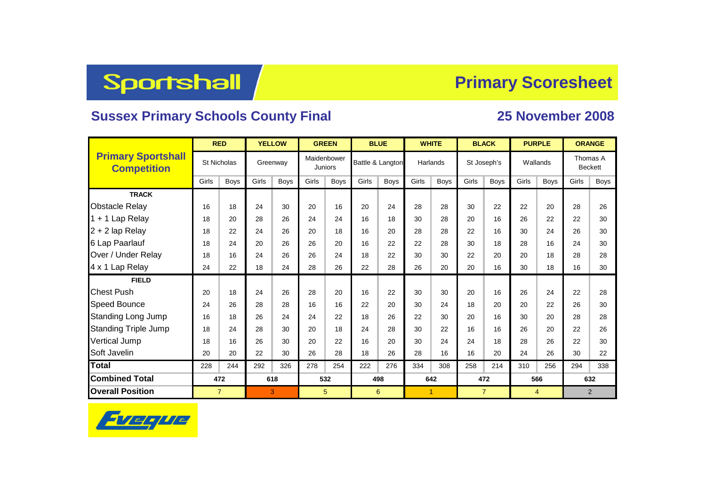## Sportshall

## **Primary Scoresheet**

## **Sussex Primary Schools County Final 25 November 2008**

|                                                 | <b>RED</b>         |             | <b>YELLOW</b> |             | <b>GREEN</b>                  |             |       | <b>BLUE</b>      |                      | <b>WHITE</b> |       | <b>BLACK</b>   | <b>PURPLE</b> |             | <b>ORANGE</b>              |             |  |
|-------------------------------------------------|--------------------|-------------|---------------|-------------|-------------------------------|-------------|-------|------------------|----------------------|--------------|-------|----------------|---------------|-------------|----------------------------|-------------|--|
| <b>Primary Sportshall</b><br><b>Competition</b> | <b>St Nicholas</b> |             | Greenway      |             | Maidenbower<br><b>Juniors</b> |             |       | Battle & Langton |                      | Harlands     |       | St Joseph's    | Wallands      |             | Thomas A<br><b>Beckett</b> |             |  |
|                                                 | Girls              | <b>Boys</b> | Girls         | <b>Boys</b> | Girls                         | <b>Boys</b> | Girls | Boys             | Girls                | <b>Boys</b>  | Girls | <b>Boys</b>    | Girls         | <b>Boys</b> | Girls                      | <b>Boys</b> |  |
| <b>TRACK</b>                                    |                    |             |               |             |                               |             |       |                  |                      |              |       |                |               |             |                            |             |  |
| <b>Obstacle Relay</b>                           | 16                 | 18          | 24            | 30          | 20                            | 16          | 20    | 24               | 28                   | 28           | 30    | 22             | 22            | 20          | 28                         | 26          |  |
| 1 + 1 Lap Relay                                 | 18                 | 20          | 28            | 26          | 24                            | 24          | 16    | 18               | 30                   | 28           | 20    | 16             | 26            | 22          | 22                         | 30          |  |
| 2 + 2 lap Relay                                 | 18                 | 22          | 24            | 26          | 20                            | 18          | 16    | 20               | 28                   | 28           | 22    | 16             | 30            | 24          | 26                         | 30          |  |
| 6 Lap Paarlauf                                  | 18                 | 24          | 20            | 26          | 26                            | 20          | 16    | 22               | 22                   | 28           | 30    | 18             | 28            | 16          | 24                         | 30          |  |
| Over / Under Relay                              | 18                 | 16          | 24            | 26          | 26                            | 24          | 18    | 22               | 30                   | 30           | 22    | 20             | 20            | 18          | 28                         | 28          |  |
| 4 x 1 Lap Relay                                 | 24                 | 22          | 18            | 24          | 28                            | 26          | 22    | 28               | 26                   | 20           | 20    | 16             | 30            | 18          | 16                         | 30          |  |
| <b>FIELD</b>                                    |                    |             |               |             |                               |             |       |                  |                      |              |       |                |               |             |                            |             |  |
| <b>Chest Push</b>                               | 20                 | 18          | 24            | 26          | 28                            | 20          | 16    | 22               | 30                   | 30           | 20    | 16             | 26            | 24          | 22                         | 28          |  |
| Speed Bounce                                    | 24                 | 26          | 28            | 28          | 16                            | 16          | 22    | 20               | 30                   | 24           | 18    | 20             | 20            | 22          | 26                         | 30          |  |
| <b>Standing Long Jump</b>                       | 16                 | 18          | 26            | 24          | 24                            | 22          | 18    | 26               | 22                   | 30           | 20    | 16             | 30            | 20          | 28                         | 28          |  |
| <b>Standing Triple Jump</b>                     | 18                 | 24          | 28            | 30          | 20                            | 18          | 24    | 28               | 30                   | 22           | 16    | 16             | 26            | 20          | 22                         | 26          |  |
| Vertical Jump                                   | 18                 | 16          | 26            | 30          | 20                            | 22          | 16    | 20               | 30                   | 24           | 24    | 18             | 28            | 26          | 22                         | 30          |  |
| Soft Javelin                                    | 20                 | 20          | 22            | 30          | 26                            | 28          | 18    | 26               | 28                   | 16           | 16    | 20             | 24            | 26          | 30                         | 22          |  |
| <b>Total</b>                                    | 228                | 244         | 292           | 326         | 278                           | 254         | 222   | 276              | 334                  | 308          | 258   | 214            | 310           | 256         | 294                        | 338         |  |
| <b>Combined Total</b>                           | 472                |             | 618           |             | 532                           |             | 498   |                  |                      | 642          |       | 472            |               | 566         | 632                        |             |  |
| <b>Overall Position</b>                         | $\overline{7}$     |             |               | 3           | 5                             |             |       | 6                | $\blacktriangleleft$ |              |       | $\overline{7}$ |               | 4           | 2                          |             |  |

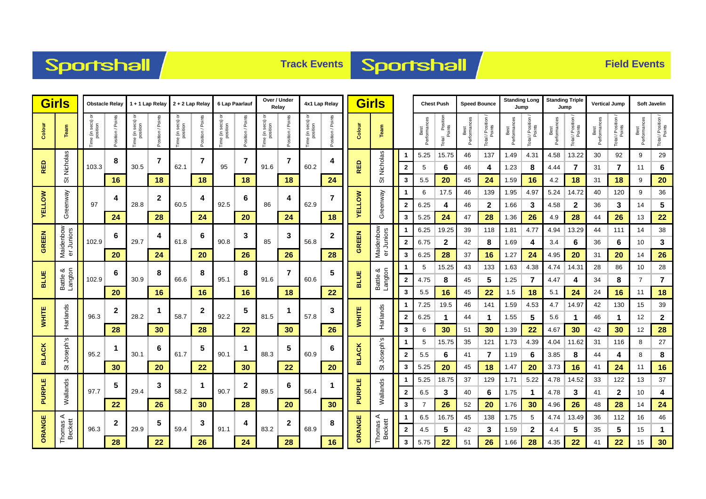



|                                    | <b>Girls</b><br><b>Obstacle Relay</b> |                                |                   |                                         | 1 + 1 Lap Relay 2 + 2 Lap Relay |                                   |                    | 6 Lap Paarlauf                    |                      | Over / Under<br>Relav                               |                     | 4x1 Lap Relay                 |                      | <b>Girls</b>  |                         |              |                      | <b>Chest Push</b>             |                      | <b>Speed Bounce</b>        |                      | <b>Standing Long</b><br>Jump | <b>Standing Triple</b><br>Jump |                            | <b>Vertical Jump</b> |                              | <b>Soft Javelin</b>  |                         |
|------------------------------------|---------------------------------------|--------------------------------|-------------------|-----------------------------------------|---------------------------------|-----------------------------------|--------------------|-----------------------------------|----------------------|-----------------------------------------------------|---------------------|-------------------------------|----------------------|---------------|-------------------------|--------------|----------------------|-------------------------------|----------------------|----------------------------|----------------------|------------------------------|--------------------------------|----------------------------|----------------------|------------------------------|----------------------|-------------------------|
| Colour                             | Team                                  | ৯<br>ime (in secs)<br>position | Position / Points | ᅙ<br>e (in secs)<br>position<br>ime (in | osition / Points                | ਠ<br>(in secs)<br>position<br>emi | Points<br>sition / | e (in secs) or<br>position<br>eq. | Points<br>Position / | e (in secs) or<br>position<br>$\varepsilon$<br>Time | Point<br>sition / I | Fime (in secs) or<br>position | Points<br>Position / | Colour        | Team                    |              | Best<br>Performances | I Position<br>Points<br>Total | Best<br>Performances | Total / Position<br>Points | Best<br>Performances | Total / Position<br>Points   | Performance<br>Best            | Total / Position<br>Points | Performances<br>Best | Total / Position /<br>Points | Best<br>Performances | Total / Position        |
|                                    |                                       |                                | 8                 |                                         | 7                               |                                   | 7                  |                                   | $\overline{7}$       |                                                     | 7                   |                               | 4                    |               |                         |              | 5.25                 | 15.75                         | 46                   | 137                        | 1.49                 | 4.31                         | 4.58                           | 13.22                      | 30                   | 92                           | 9                    | 29                      |
| <b>RED</b>                         | St Nicholas                           | 103.3                          |                   | 30.5                                    |                                 | 62.1                              |                    | 95                                |                      | 91.6                                                |                     | 60.2                          |                      | <b>RED</b>    | St Nicholas             | 2            | 5                    | 6                             | 46                   | 4                          | 1.23                 | 8                            | 4.44                           | 7                          | 31                   | 7                            | 11                   | 6                       |
|                                    |                                       |                                | 16                |                                         | 18                              |                                   | 18                 |                                   | 18                   |                                                     | 18                  |                               | 24                   |               |                         | 3            | 5.5                  | 20                            | 45                   | 24                         | 1.59                 | 16                           | 4.2                            | 18                         | 31                   | 18                           | 9                    | 20                      |
|                                    |                                       |                                | 4                 |                                         | $\mathbf{2}$                    |                                   | 4                  |                                   | 6                    | 86                                                  | 4                   |                               | 7                    |               |                         | 1            | 6                    | 17.5                          | 46                   | 139                        | 1.95                 | 4.97                         | 5.24                           | 14.72                      | 40                   | 120                          | 9                    | 36                      |
| <b>AELLOW</b>                      | Greenway                              | 97                             |                   | 28.8                                    |                                 | 60.5                              |                    | 92.5                              |                      |                                                     |                     | 62.9                          |                      | <b>AELLOW</b> | Greenway                | $\mathbf{2}$ | 6.25                 | 4                             | 46                   | $\mathbf 2$                | 1.66                 | 3                            | 4.58                           | $\mathbf{2}$               | 36                   | 3                            | 14                   | 5                       |
|                                    |                                       |                                | 24                |                                         | 28                              |                                   | 24                 |                                   | 20                   |                                                     | 24                  |                               | 18                   |               |                         | 3            | 5.25                 | 24                            | 47                   | 28                         | 1.36                 | 26                           | 4.9                            | 28                         | 44                   | 26                           | 13                   | 22                      |
| <b>GREEN</b>                       | Maidenbow<br>er Juniors               |                                | 6                 |                                         | 4                               |                                   | 6                  |                                   | 3                    |                                                     | 3                   |                               | 2                    |               |                         |              | 6.25                 | 19.25                         | 39                   | 118                        | 1.81                 | 4.77                         | 4.94                           | 13.29                      | 44                   | 111                          | 14                   | 38                      |
|                                    |                                       | 102.9                          |                   | 29.7                                    |                                 | 61.8                              |                    | 90.8                              |                      | 85                                                  |                     | 56.8                          |                      | GREEN         | Maidenbow<br>er Juniors | $\mathbf{2}$ | 6.75                 | $\mathbf 2$                   | 42                   | 8                          | 1.69                 | 4                            | 3.4                            | 6                          | 36                   | 6                            | 10                   | 3                       |
|                                    |                                       |                                | 20                |                                         | 24                              |                                   | 20                 |                                   | 26                   |                                                     | 26                  |                               | 28                   |               |                         | 3            | 6.25                 | 28                            | 37                   | 16                         | 1.27                 | 24                           | 4.95                           | 20                         | 31                   | 20                           | 14                   | 26                      |
| <b>BLUE</b>                        |                                       |                                | 6                 |                                         | 8                               |                                   | 8                  |                                   | 8                    |                                                     | 7                   |                               | 5                    |               |                         |              | 5                    | 15.25                         | 43                   | 133                        | 1.63                 | 4.38                         | 4.74                           | 14.31                      | 28                   | 86                           | 10                   | 28                      |
|                                    | Battle &<br>Langton                   | 102.9                          |                   | 30.9                                    |                                 | 66.6                              |                    | 95.1                              |                      | 91.6                                                |                     | 60.6                          |                      | <b>BLUE</b>   | Battle &<br>Langton     | $\mathbf{2}$ | 4.75                 | 8                             | 45                   | 5                          | 1.25                 | 7                            | 4.47                           | 4                          | 34                   | 8                            | 7                    | $\overline{\mathbf{r}}$ |
|                                    |                                       |                                | 20                |                                         | 16                              |                                   | 16                 |                                   | 16                   |                                                     | 18                  |                               | 22                   |               |                         | 3            | 5.5                  | 16                            | 45                   | 22                         | 1.5                  | 18                           | 5.1                            | 24                         | 24                   | 16                           | 11                   | 18                      |
|                                    |                                       |                                | $\mathbf{2}$      |                                         | $\mathbf 1$                     |                                   | $\mathbf{2}$       |                                   | 5                    |                                                     | 1                   | 57.8                          | 3<br>26              |               | Harlands                | 1            | 7.25                 | 19.5                          | 46                   | 141                        | 1.59                 | 4.53                         | 4.7                            | 14.97                      | 42                   | 130                          | 15                   | 39                      |
| <b>WHITE</b>                       | Harlands                              | 96.3                           |                   | 28.2                                    |                                 | 58.7                              |                    | 92.2                              |                      | 81.5                                                |                     |                               |                      | WHITE         |                         | $\mathbf{2}$ | 6.25                 | 1                             | 44                   | 1                          | 1.55                 | 5                            | 5.6                            | -1                         | 46                   | 1                            | 12                   | $\mathbf{2}$            |
|                                    |                                       |                                | 28                |                                         | 30                              |                                   | 28                 |                                   | 22                   |                                                     | 30                  |                               |                      |               |                         | 3            | 6                    | 30                            | 51                   | 30                         | 1.39                 | 22                           | 4.67                           | 30                         | 42                   | 30                           | 12                   | 28                      |
|                                    | ဖ                                     |                                | 1                 |                                         | 6                               |                                   | 5                  |                                   | 1                    |                                                     | 5                   | 60.9                          | 6                    |               | Joseph's                |              | 5                    | 15.75                         | 35                   | 121                        | 1.73                 | 4.39                         | 4.04                           | 11.62                      | 31                   | 116                          | 8                    | 27                      |
| <b>BLACK</b>                       | Joseph's                              | 95.2                           |                   | 30.1                                    |                                 | 61.7                              |                    | 90.1                              |                      | 88.3                                                |                     |                               |                      | <b>BLACK</b>  |                         | $\mathbf{2}$ | 5.5                  | 6                             | 41                   | 7                          | 1.19                 | 6                            | 3.85                           | 8                          | 44                   | 4                            | 8                    | 8                       |
|                                    | ぁ                                     |                                | 30                |                                         | 20                              |                                   | 22                 |                                   | 30                   |                                                     | 22                  |                               | 20                   |               | の                       | 3            | 5.25                 | 20                            | 45                   | 18                         | 1.47                 | 20                           | 3.73                           | 16                         | 41                   | 24                           | 11                   | 16                      |
|                                    |                                       |                                | 5                 |                                         | 3                               |                                   | 1                  |                                   | $\mathbf{2}$         |                                                     | 6                   |                               |                      |               |                         | 1            | 5.25                 | 18.75                         | 37                   | 129                        | 1.71                 | 5.22                         | 4.78                           | 14.52                      | 33                   | 122                          | 13                   | 37                      |
| PURPLE                             | Wallands                              | 97.7                           |                   | 29.4                                    |                                 | 58.2                              |                    | 90.7                              |                      | 89.5                                                |                     | 56.4                          |                      | PURPLE        | Wallands                | $\mathbf{2}$ | 6.5                  | 3                             | 40                   | 6                          | 1.75                 | -1                           | 4.78                           | 3                          | 41                   | $\mathbf{2}$                 | 10                   | 4                       |
|                                    |                                       |                                | 22                |                                         | 26                              |                                   | 30                 |                                   | 28                   |                                                     | 20                  |                               | 30                   |               |                         | 3            |                      | 26                            | 52                   | 20                         | 1.76                 | 30                           | 4.96                           | 26                         | 48                   | 28                           | 14                   | 24                      |
| ORANGE<br>⋖<br>Thomas A<br>Beckett |                                       |                                | $\boldsymbol{2}$  |                                         | 5                               |                                   | 3                  |                                   | 4                    |                                                     | $\mathbf{2}$        |                               | 8                    |               | ⋖                       |              | 6.5                  | 16.75                         | 45                   | 138                        | 1.75                 | 5                            | 4.74                           | 13.49                      | 36                   | 112                          | 16                   | 46                      |
|                                    |                                       | 96.3                           |                   | 29.9                                    |                                 | 59.4                              |                    | 91.1                              |                      | 83.2                                                |                     | 68.9                          |                      | ORANGE        | Thomas A<br>Beckett     | $\mathbf{2}$ | 4.5                  | 5                             | 42                   | 3                          | 1.59                 | $\mathbf{2}$                 | 4.4                            | 5                          | 35                   | 5                            | 15                   | $\mathbf{1}$            |
|                                    |                                       |                                | 28                |                                         | 22                              |                                   | 26                 |                                   | 24                   |                                                     | 28                  |                               | 16                   |               |                         | 3            | 5.75                 | 22                            | 51                   | 26                         | 1.66                 | 28                           | 4.35                           | 22                         | 41                   | 22                           | 15                   | 30                      |